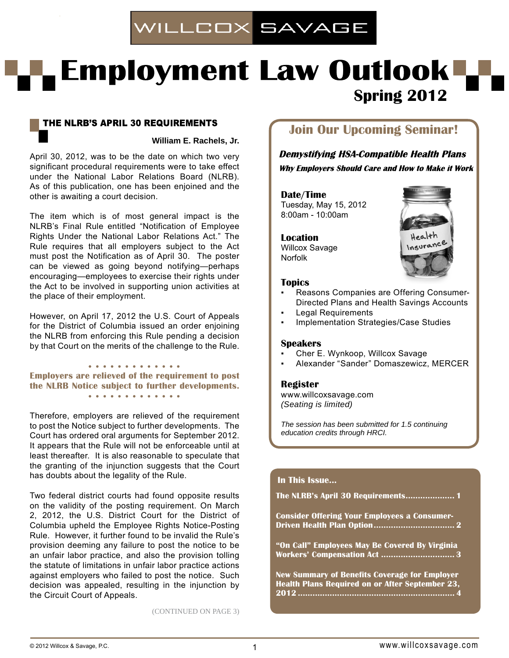

# **LEmployment Law Outlook Spring 2012**

# THE NLRB'S APRIL 30 REQUIREMENTS

**William E. Rachels, Jr.** 

April 30, 2012, was to be the date on which two very significant procedural requirements were to take effect under the National Labor Relations Board (NLRB). As of this publication, one has been enjoined and the other is awaiting a court decision.

The item which is of most general impact is the NLRB's Final Rule entitled "Notification of Employee Rights Under the National Labor Relations Act." The Rule requires that all employers subject to the Act must post the Notification as of April 30. The poster can be viewed as going beyond notifying—perhaps encouraging—employees to exercise their rights under the Act to be involved in supporting union activities at the place of their employment.

However, on April 17, 2012 the U.S. Court of Appeals for the District of Columbia issued an order enjoining the NLRB from enforcing this Rule pending a decision by that Court on the merits of the challenge to the Rule.

. . . . . . . . . . . . . **Employers are relieved of the requirement to post the NLRB Notice subject to further developments.** . . . . . . . . . . . . .

Therefore, employers are relieved of the requirement to post the Notice subject to further developments. The Court has ordered oral arguments for September 2012. It appears that the Rule will not be enforceable until at least thereafter. It is also reasonable to speculate that the granting of the injunction suggests that the Court has doubts about the legality of the Rule.

Two federal district courts had found opposite results on the validity of the posting requirement. On March 2, 2012, the U.S. District Court for the District of Columbia upheld the Employee Rights Notice-Posting Rule. However, it further found to be invalid the Rule's provision deeming any failure to post the notice to be an unfair labor practice, and also the provision tolling the statute of limitations in unfair labor practice actions against employers who failed to post the notice. Such decision was appealed, resulting in the injunction by the Circuit Court of Appeals.

#### (CONTINUED ON PAGE 3)

# **Join Our Upcoming Seminar!**

**Demystifying HSA-Compatible Health Plans Why Employers Should Care and How to Make it Work** 

#### **Date/Time**

Tuesday, May 15, 2012 8:00am - 10:00am

**Location** Willcox Savage Norfolk



#### **Topics**

- Reasons Companies are Offering Consumer-Directed Plans and Health Savings Accounts
- **Legal Requirements**
- **Implementation Strategies/Case Studies**

#### **Speakers**

- Cher E. Wynkoop, Willcox Savage
- Alexander "Sander" Domaszewicz, MERCER

#### **Register**

www.willcoxsavage.com *(Seating is limited)*

*The session has been submitted for 1.5 continuing education credits through HRCI.*

#### **In This Issue...**

**The NLRB's April 30 Requirements .................... 1 Consider Offering Your Employees a Consumer-Driven Health Plan Option ................................. 2 "On Call" Employees May Be Covered By Virginia Workers' Compensation Act .............................. 3 New Summary of Benefits Coverage for Employer Health Plans Required on or After September 23, 2012 ................................................................ 4**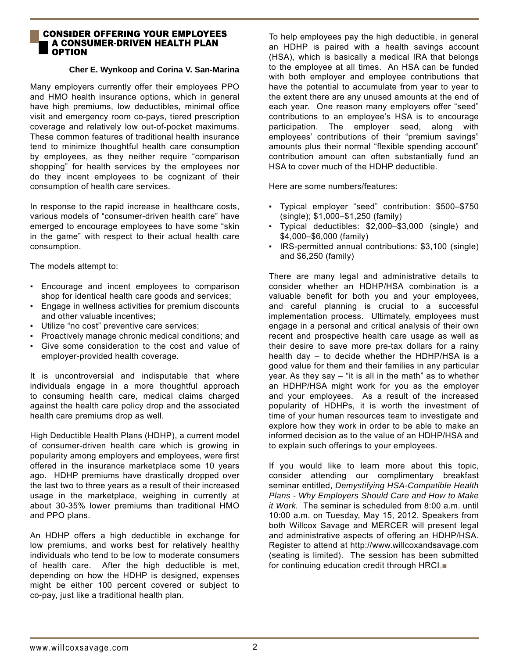## **CONSIDER OFFERING YOUR EMPLOYEES A CONSUMER-DRIVEN HEALTH PLAN** I OPTION

### **Cher E. Wynkoop and Corina V. San-Marina**

Many employers currently offer their employees PPO and HMO health insurance options, which in general have high premiums, low deductibles, minimal office visit and emergency room co-pays, tiered prescription coverage and relatively low out-of-pocket maximums. These common features of traditional health insurance tend to minimize thoughtful health care consumption by employees, as they neither require "comparison shopping" for health services by the employees nor do they incent employees to be cognizant of their consumption of health care services.

In response to the rapid increase in healthcare costs, various models of "consumer-driven health care" have emerged to encourage employees to have some "skin in the game" with respect to their actual health care consumption.

The models attempt to:

- Encourage and incent employees to comparison shop for identical health care goods and services;
- Engage in wellness activities for premium discounts and other valuable incentives;
- Utilize "no cost" preventive care services;
- Proactively manage chronic medical conditions; and ▪ Give some consideration to the cost and value of
- employer-provided health coverage.

It is uncontroversial and indisputable that where individuals engage in a more thoughtful approach to consuming health care, medical claims charged against the health care policy drop and the associated health care premiums drop as well.

High Deductible Health Plans (HDHP), a current model of consumer-driven health care which is growing in popularity among employers and employees, were first offered in the insurance marketplace some 10 years ago. HDHP premiums have drastically dropped over the last two to three years as a result of their increased usage in the marketplace, weighing in currently at about 30-35% lower premiums than traditional HMO and PPO plans.

An HDHP offers a high deductible in exchange for low premiums, and works best for relatively healthy individuals who tend to be low to moderate consumers of health care. After the high deductible is met, depending on how the HDHP is designed, expenses might be either 100 percent covered or subject to co-pay, just like a traditional health plan.

To help employees pay the high deductible, in general an HDHP is paired with a health savings account (HSA), which is basically a medical IRA that belongs to the employee at all times. An HSA can be funded with both employer and employee contributions that have the potential to accumulate from year to year to the extent there are any unused amounts at the end of each year. One reason many employers offer "seed" contributions to an employee's HSA is to encourage participation. The employer seed, along with employees' contributions of their "premium savings" amounts plus their normal "flexible spending account" contribution amount can often substantially fund an HSA to cover much of the HDHP deductible.

Here are some numbers/features:

- Typical employer "seed" contribution: \$500–\$750 (single); \$1,000–\$1,250 (family)
- Typical deductibles: \$2,000–\$3,000 (single) and \$4,000–\$6,000 (family)
- IRS-permitted annual contributions: \$3,100 (single) and \$6,250 (family)

There are many legal and administrative details to consider whether an HDHP/HSA combination is a valuable benefit for both you and your employees, and careful planning is crucial to a successful implementation process. Ultimately, employees must engage in a personal and critical analysis of their own recent and prospective health care usage as well as their desire to save more pre-tax dollars for a rainy health day – to decide whether the HDHP/HSA is a good value for them and their families in any particular year. As they say – "it is all in the math" as to whether an HDHP/HSA might work for you as the employer and your employees. As a result of the increased popularity of HDHPs, it is worth the investment of time of your human resources team to investigate and explore how they work in order to be able to make an informed decision as to the value of an HDHP/HSA and to explain such offerings to your employees.

If you would like to learn more about this topic, consider attending our complimentary breakfast seminar entitled, *Demystifying HSA-Compatible Health Plans - Why Employers Should Care and How to Make it Work.* The seminar is scheduled from 8:00 a.m. until 10:00 a.m. on Tuesday, May 15, 2012. Speakers from both Willcox Savage and MERCER will present legal and administrative aspects of offering an HDHP/HSA. Register to attend at http://www.willcoxandsavage.com (seating is limited). The session has been submitted for continuing education credit through HRCI.■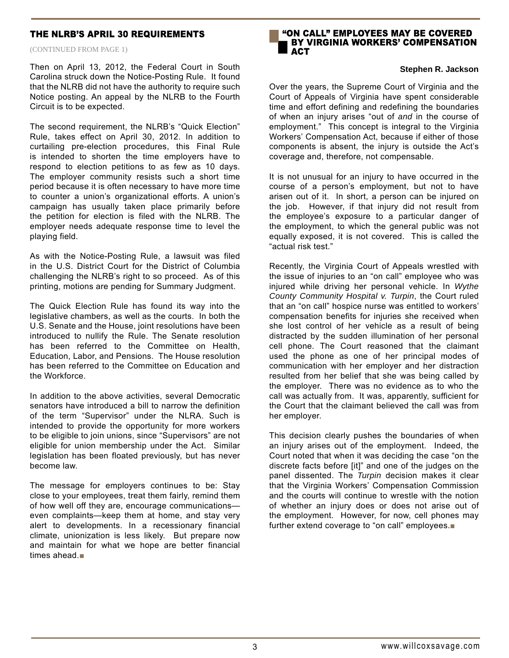## THE NLRB'S APRIL 30 REQUIREMENTS

(CONTINUED FROM PAGE 1)

Then on April 13, 2012, the Federal Court in South Carolina struck down the Notice-Posting Rule. It found that the NLRB did not have the authority to require such Notice posting. An appeal by the NLRB to the Fourth Circuit is to be expected.

The second requirement, the NLRB's "Quick Election" Rule, takes effect on April 30, 2012. In addition to curtailing pre-election procedures, this Final Rule is intended to shorten the time employers have to respond to election petitions to as few as 10 days. The employer community resists such a short time period because it is often necessary to have more time to counter a union's organizational efforts. A union's campaign has usually taken place primarily before the petition for election is filed with the NLRB. The employer needs adequate response time to level the playing field.

As with the Notice-Posting Rule, a lawsuit was filed in the U.S. District Court for the District of Columbia challenging the NLRB's right to so proceed. As of this printing, motions are pending for Summary Judgment.

The Quick Election Rule has found its way into the legislative chambers, as well as the courts. In both the U.S. Senate and the House, joint resolutions have been introduced to nullify the Rule. The Senate resolution has been referred to the Committee on Health, Education, Labor, and Pensions. The House resolution has been referred to the Committee on Education and the Workforce.

In addition to the above activities, several Democratic senators have introduced a bill to narrow the definition of the term "Supervisor" under the NLRA. Such is intended to provide the opportunity for more workers to be eligible to join unions, since "Supervisors" are not eligible for union membership under the Act. Similar legislation has been floated previously, but has never become law.

The message for employers continues to be: Stay close to your employees, treat them fairly, remind them of how well off they are, encourage communications even complaints—keep them at home, and stay very alert to developments. In a recessionary financial climate, unionization is less likely. But prepare now and maintain for what we hope are better financial times ahead.■



#### **Stephen R. Jackson**

Over the years, the Supreme Court of Virginia and the Court of Appeals of Virginia have spent considerable time and effort defining and redefining the boundaries of when an injury arises "out of *and* in the course of employment." This concept is integral to the Virginia Workers' Compensation Act, because if either of those components is absent, the injury is outside the Act's coverage and, therefore, not compensable.

It is not unusual for an injury to have occurred in the course of a person's employment, but not to have arisen out of it. In short, a person can be injured on the job. However, if that injury did not result from the employee's exposure to a particular danger of the employment, to which the general public was not equally exposed, it is not covered. This is called the "actual risk test."

Recently, the Virginia Court of Appeals wrestled with the issue of injuries to an "on call" employee who was injured while driving her personal vehicle. In *Wythe County Community Hospital v. Turpin*, the Court ruled that an "on call" hospice nurse was entitled to workers' compensation benefits for injuries she received when she lost control of her vehicle as a result of being distracted by the sudden illumination of her personal cell phone. The Court reasoned that the claimant used the phone as one of her principal modes of communication with her employer and her distraction resulted from her belief that she was being called by the employer. There was no evidence as to who the call was actually from. It was, apparently, sufficient for the Court that the claimant believed the call was from her employer.

This decision clearly pushes the boundaries of when an injury arises out of the employment. Indeed, the Court noted that when it was deciding the case "on the discrete facts before [it]" and one of the judges on the panel dissented. The *Turpin* decision makes it clear that the Virginia Workers' Compensation Commission and the courts will continue to wrestle with the notion of whether an injury does or does not arise out of the employment. However, for now, cell phones may further extend coverage to "on call" employees.■